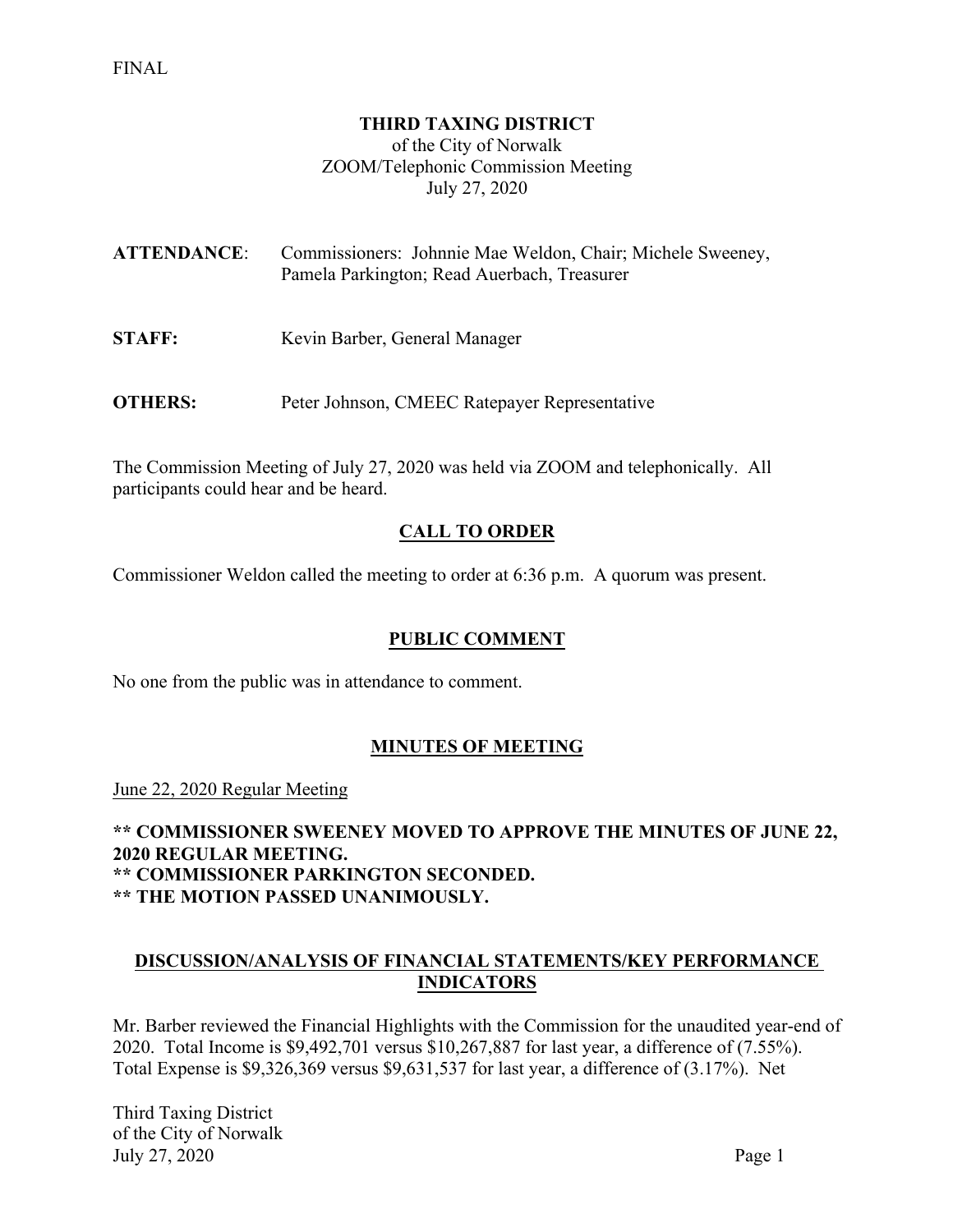#### **THIRD TAXING DISTRICT**

of the City of Norwalk ZOOM/Telephonic Commission Meeting July 27, 2020

| <b>ATTENDANCE:</b> | Commissioners: Johnnie Mae Weldon, Chair; Michele Sweeney,<br>Pamela Parkington; Read Auerbach, Treasurer |
|--------------------|-----------------------------------------------------------------------------------------------------------|
| <b>STAFF:</b>      | Kevin Barber, General Manager                                                                             |

**OTHERS:** Peter Johnson, CMEEC Ratepayer Representative

The Commission Meeting of July 27, 2020 was held via ZOOM and telephonically. All participants could hear and be heard.

## **CALL TO ORDER**

Commissioner Weldon called the meeting to order at 6:36 p.m. A quorum was present.

### **PUBLIC COMMENT**

No one from the public was in attendance to comment.

### **MINUTES OF MEETING**

June 22, 2020 Regular Meeting

**\*\* COMMISSIONER SWEENEY MOVED TO APPROVE THE MINUTES OF JUNE 22, 2020 REGULAR MEETING. \*\* COMMISSIONER PARKINGTON SECONDED. \*\* THE MOTION PASSED UNANIMOUSLY.**

### **DISCUSSION/ANALYSIS OF FINANCIAL STATEMENTS/KEY PERFORMANCE INDICATORS**

Mr. Barber reviewed the Financial Highlights with the Commission for the unaudited year-end of 2020. Total Income is \$9,492,701 versus \$10,267,887 for last year, a difference of (7.55%). Total Expense is \$9,326,369 versus \$9,631,537 for last year, a difference of (3.17%). Net

Third Taxing District of the City of Norwalk July 27, 2020 Page 1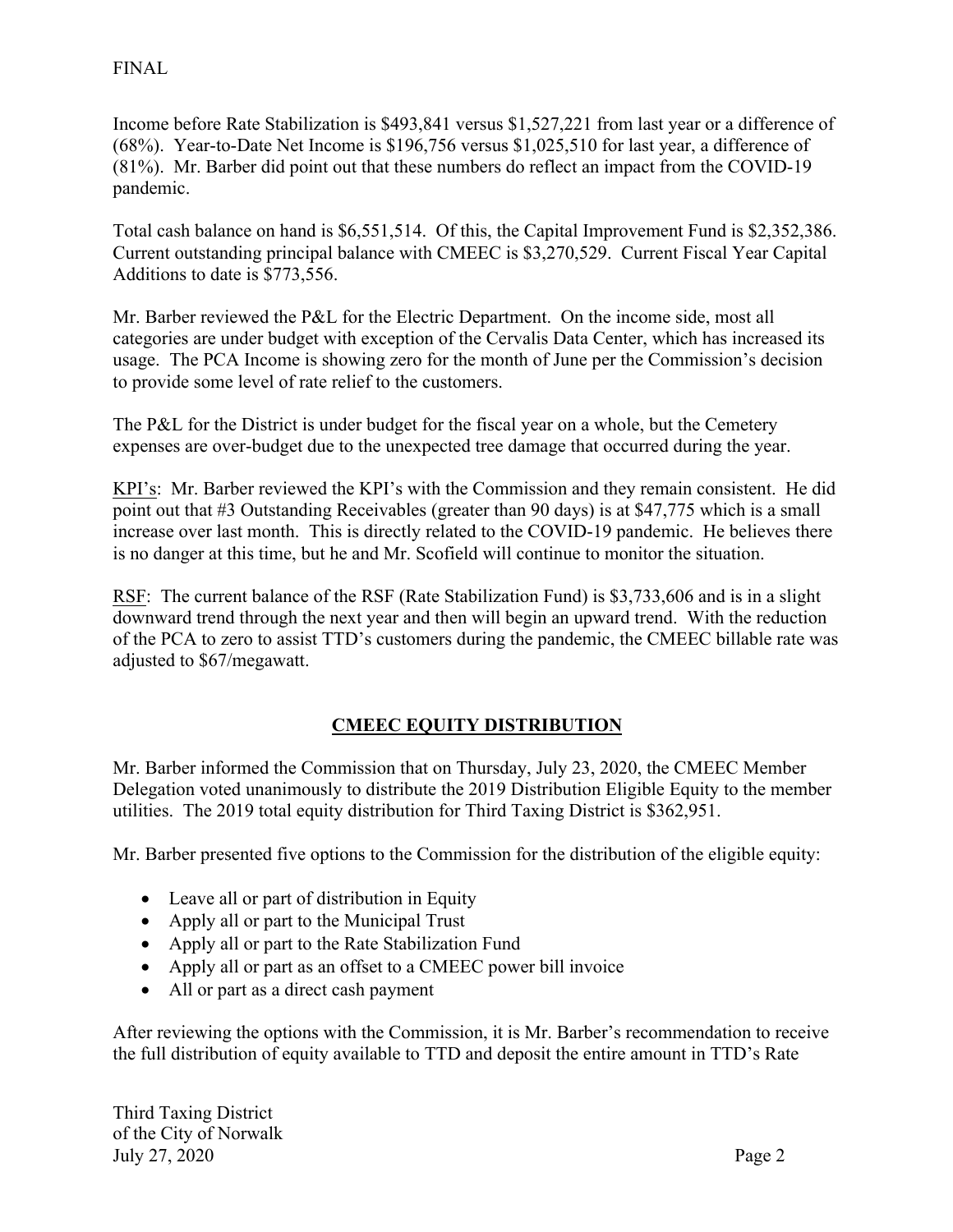## FINAL

Income before Rate Stabilization is \$493,841 versus \$1,527,221 from last year or a difference of (68%). Year-to-Date Net Income is \$196,756 versus \$1,025,510 for last year, a difference of (81%). Mr. Barber did point out that these numbers do reflect an impact from the COVID-19 pandemic.

Total cash balance on hand is \$6,551,514. Of this, the Capital Improvement Fund is \$2,352,386. Current outstanding principal balance with CMEEC is \$3,270,529. Current Fiscal Year Capital Additions to date is \$773,556.

Mr. Barber reviewed the P&L for the Electric Department. On the income side, most all categories are under budget with exception of the Cervalis Data Center, which has increased its usage. The PCA Income is showing zero for the month of June per the Commission's decision to provide some level of rate relief to the customers.

The P&L for the District is under budget for the fiscal year on a whole, but the Cemetery expenses are over-budget due to the unexpected tree damage that occurred during the year.

KPI's: Mr. Barber reviewed the KPI's with the Commission and they remain consistent. He did point out that #3 Outstanding Receivables (greater than 90 days) is at \$47,775 which is a small increase over last month. This is directly related to the COVID-19 pandemic. He believes there is no danger at this time, but he and Mr. Scofield will continue to monitor the situation.

RSF: The current balance of the RSF (Rate Stabilization Fund) is \$3,733,606 and is in a slight downward trend through the next year and then will begin an upward trend. With the reduction of the PCA to zero to assist TTD's customers during the pandemic, the CMEEC billable rate was adjusted to \$67/megawatt.

# **CMEEC EQUITY DISTRIBUTION**

Mr. Barber informed the Commission that on Thursday, July 23, 2020, the CMEEC Member Delegation voted unanimously to distribute the 2019 Distribution Eligible Equity to the member utilities. The 2019 total equity distribution for Third Taxing District is \$362,951.

Mr. Barber presented five options to the Commission for the distribution of the eligible equity:

- Leave all or part of distribution in Equity
- Apply all or part to the Municipal Trust
- Apply all or part to the Rate Stabilization Fund
- Apply all or part as an offset to a CMEEC power bill invoice
- All or part as a direct cash payment

After reviewing the options with the Commission, it is Mr. Barber's recommendation to receive the full distribution of equity available to TTD and deposit the entire amount in TTD's Rate

Third Taxing District of the City of Norwalk July 27, 2020 Page 2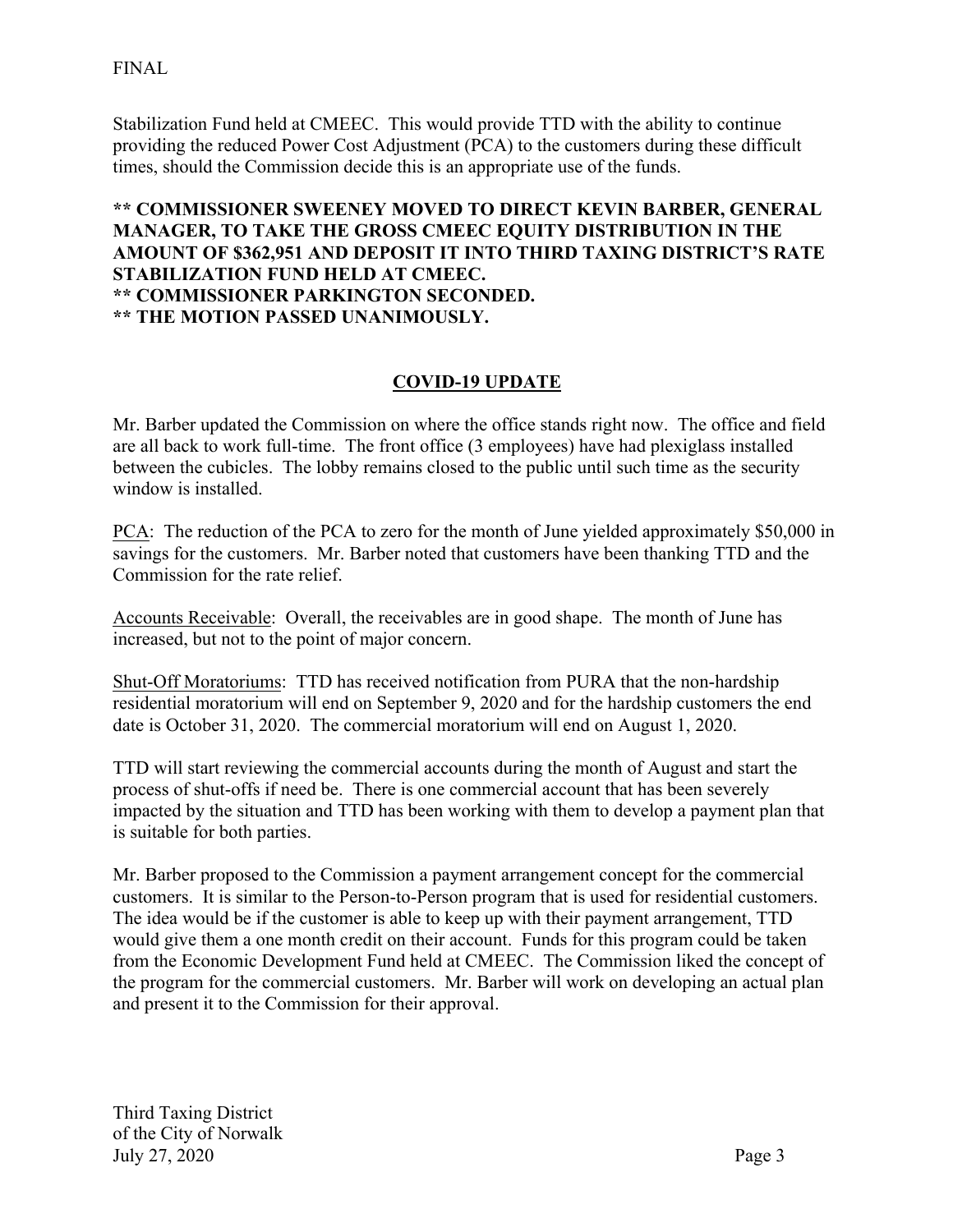Stabilization Fund held at CMEEC. This would provide TTD with the ability to continue providing the reduced Power Cost Adjustment (PCA) to the customers during these difficult times, should the Commission decide this is an appropriate use of the funds.

### **\*\* COMMISSIONER SWEENEY MOVED TO DIRECT KEVIN BARBER, GENERAL MANAGER, TO TAKE THE GROSS CMEEC EQUITY DISTRIBUTION IN THE AMOUNT OF \$362,951 AND DEPOSIT IT INTO THIRD TAXING DISTRICT'S RATE STABILIZATION FUND HELD AT CMEEC. \*\* COMMISSIONER PARKINGTON SECONDED. \*\* THE MOTION PASSED UNANIMOUSLY.**

# **COVID-19 UPDATE**

Mr. Barber updated the Commission on where the office stands right now. The office and field are all back to work full-time. The front office (3 employees) have had plexiglass installed between the cubicles. The lobby remains closed to the public until such time as the security window is installed.

PCA: The reduction of the PCA to zero for the month of June yielded approximately \$50,000 in savings for the customers. Mr. Barber noted that customers have been thanking TTD and the Commission for the rate relief.

Accounts Receivable: Overall, the receivables are in good shape. The month of June has increased, but not to the point of major concern.

Shut-Off Moratoriums: TTD has received notification from PURA that the non-hardship residential moratorium will end on September 9, 2020 and for the hardship customers the end date is October 31, 2020. The commercial moratorium will end on August 1, 2020.

TTD will start reviewing the commercial accounts during the month of August and start the process of shut-offs if need be. There is one commercial account that has been severely impacted by the situation and TTD has been working with them to develop a payment plan that is suitable for both parties.

Mr. Barber proposed to the Commission a payment arrangement concept for the commercial customers. It is similar to the Person-to-Person program that is used for residential customers. The idea would be if the customer is able to keep up with their payment arrangement, TTD would give them a one month credit on their account. Funds for this program could be taken from the Economic Development Fund held at CMEEC. The Commission liked the concept of the program for the commercial customers. Mr. Barber will work on developing an actual plan and present it to the Commission for their approval.